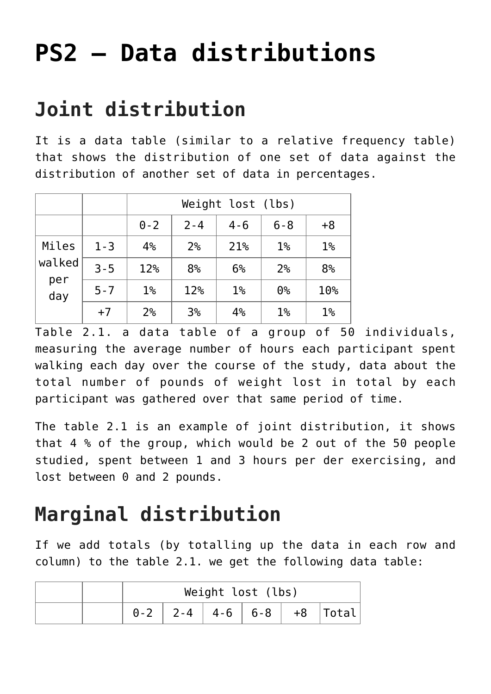# **[PS2 – Data distributions](https://www.magazinescience.com/en/data/ps2-data-distributions/)**

## **Joint distribution**

It is a data table (similar to a relative frequency table) that shows the distribution of one set of data against the distribution of another set of data in percentages.

|                               |         |                | Weight lost (lbs) |                |                |                |  |  |
|-------------------------------|---------|----------------|-------------------|----------------|----------------|----------------|--|--|
|                               |         | $0 - 2$        | $2 - 4$           | $4 - 6$        | $6 - 8$        | $+8$           |  |  |
| Miles<br>walked<br>per<br>day | $1 - 3$ | 4%             | 2 <sup>°</sup>    | 21%            | $1\%$          | 1 <sup>°</sup> |  |  |
|                               | $3 - 5$ | 12%            | 8 <sup>°</sup>    | 6%             | 2 <sup>°</sup> | 8 <sup>°</sup> |  |  |
|                               | $5 - 7$ | $1\%$          | 12%               | 1 <sup>°</sup> | 0 <sup>°</sup> | 10%            |  |  |
|                               | $+7$    | 2 <sup>°</sup> | 3 <sup>°</sup>    | 4%             | $1\%$          | $1\%$          |  |  |

Table 2.1. a data table of a group of 50 individuals, measuring the average number of hours each participant spent walking each day over the course of the study, data about the total number of pounds of weight lost in total by each participant was gathered over that same period of time.

The table 2.1 is an example of joint distribution, it shows that 4 % of the group, which would be 2 out of the 50 people studied, spent between 1 and 3 hours per der exercising, and lost between 0 and 2 pounds.

## **Marginal distribution**

If we add totals (by totalling up the data in each row and column) to the table 2.1. we get the following data table:

|  | Weight lost (lbs) |  |  |  |  |                            |  |
|--|-------------------|--|--|--|--|----------------------------|--|
|  |                   |  |  |  |  | $0-2$ 2-4 4-6 6-8 +8 Total |  |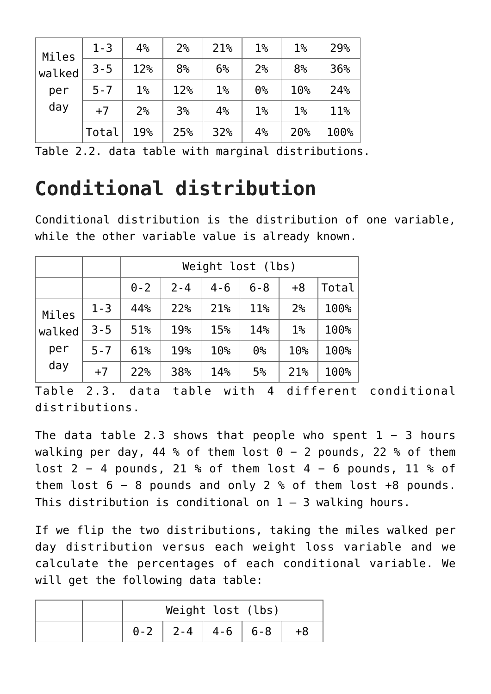| Miles  | $1 - 3$ | 4%             | 2 <sup>°</sup> | 21%   | 1 <sup>°</sup> | 1 <sup>°</sup> | 29%  |
|--------|---------|----------------|----------------|-------|----------------|----------------|------|
| walked | $3 - 5$ | 12%            | 8 <sup>°</sup> | 6%    | 2 <sup>°</sup> | 8 <sup>°</sup> | 36%  |
| per    | $5 - 7$ | $1\%$          | 12%            | $1\%$ | 0 <sup>°</sup> | 10%            | 24%  |
| day    | $+7$    | 2 <sup>°</sup> | 3 <sup>°</sup> | 4%    | 1 <sup>°</sup> | 1 <sup>°</sup> | 11%  |
|        | Total   | 19%            | 25%            | 32%   | 4%             | 20%            | 100% |

Table 2.2. data table with marginal distributions.

# **Conditional distribution**

Conditional distribution is the distribution of one variable, while the other variable value is already known.

|            |         |         | Weight lost (lbs) |         |                |                 |       |  |
|------------|---------|---------|-------------------|---------|----------------|-----------------|-------|--|
|            |         | $0 - 2$ | $2 - 4$           | $4 - 6$ | $6 - 8$        | $+8$            | Total |  |
| Miles      | $1 - 3$ | 44%     | 22%               | 21%     | 11%            | 2 <sup>°</sup>  | 100%  |  |
| walked     | $3 - 5$ | 51%     | 19%               | 15%     | 14%            | $1\%$           | 100%  |  |
| per<br>day | $5 - 7$ | 61%     | 19%               | 10%     | 0 <sup>°</sup> | 10 <sup>°</sup> | 100%  |  |
|            | $+7$    | 22%     | 38%               | 14%     | 5%             | 21%             | 100%  |  |

Table 2.3. data table with 4 different conditional distributions.

The data table 2.3 shows that people who spent  $1 - 3$  hours walking per day, 44 % of them lost  $0 - 2$  pounds, 22 % of them lost 2 − 4 pounds, 21 % of them lost 4 − 6 pounds, 11 % of them lost 6 − 8 pounds and only 2 % of them lost +8 pounds. This distribution is conditional on  $1 - 3$  walking hours.

If we flip the two distributions, taking the miles walked per day distribution versus each weight loss variable and we calculate the percentages of each conditional variable. We will get the following data table:

|  | Weight lost (lbs)       |  |  |
|--|-------------------------|--|--|
|  | $0-2$   2-4   4-6   6-8 |  |  |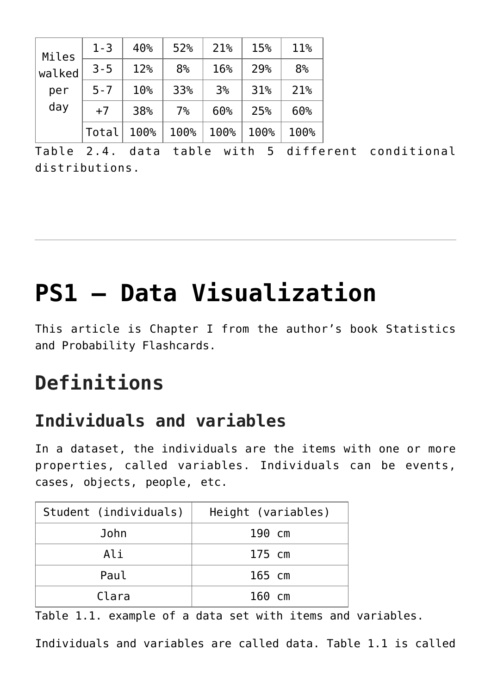| Miles<br>walked | $1 - 3$ | 40%  | 52%            | 21%            | 15%  | 11%            |
|-----------------|---------|------|----------------|----------------|------|----------------|
|                 | $3 - 5$ | 12%  | 8 <sup>°</sup> | 16%            | 29%  | 8 <sup>°</sup> |
| per             | $5 - 7$ | 10%  | 33%            | 3 <sup>°</sup> | 31%  | 21%            |
| day             | $+7$    | 38%  | 7 <sup>°</sup> | 60%            | 25%  | 60%            |
|                 | Total   | 100% | 100%           | 100%           | 100% | 100%           |

Table 2.4. data table with 5 different conditional distributions.

# **[PS1 – Data Visualization](https://www.magazinescience.com/en/data/ps1-data-visualization/)**

This article is Chapter I from the author's book Statistics and Probability Flashcards.

### **Definitions**

#### **Individuals and variables**

In a dataset, the individuals are the items with one or more properties, called variables. Individuals can be events, cases, objects, people, etc.

| Student (individuals) | Height (variables) |
|-----------------------|--------------------|
| John                  | 190 cm             |
| Ali                   | 175 cm             |
| Paul                  | 165 cm             |
| Clara                 | 160 cm             |

Table 1.1. example of a data set with items and variables.

Individuals and variables are called data. Table 1.1 is called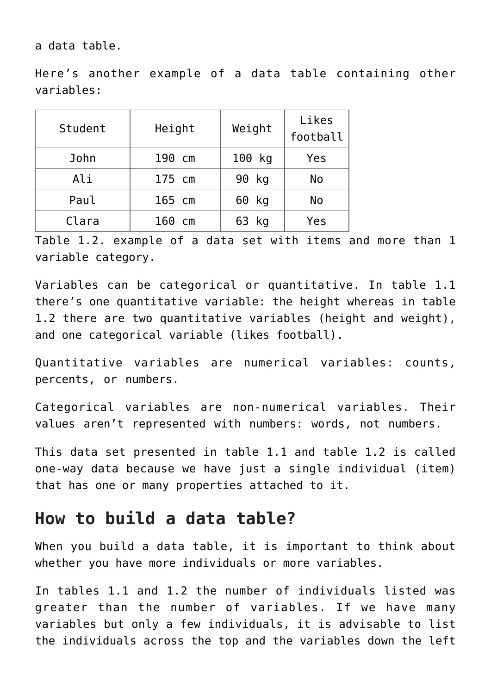a data table.

Here's another example of a data table containing other variables:

| Student | Height | Weight   | Likes<br>football |
|---------|--------|----------|-------------------|
| John    | 190 cm | 100 kg   | Yes               |
| Ali     | 175 cm | 90 kg    | No                |
| Paul    | 165 cm | 60 kg    | No                |
| Clara   | 160 cm | 63<br>kg | Yes               |

Table 1.2. example of a data set with items and more than 1 variable category.

Variables can be categorical or quantitative. In table 1.1 there's one quantitative variable: the height whereas in table 1.2 there are two quantitative variables (height and weight), and one categorical variable (likes football).

Quantitative variables are numerical variables: counts, percents, or numbers.

Categorical variables are non-numerical variables. Their values aren't represented with numbers: words, not numbers.

This data set presented in table 1.1 and table 1.2 is called one-way data because we have just a single individual (item) that has one or many properties attached to it.

#### **How to build a data table?**

When you build a data table, it is important to think about whether you have more individuals or more variables.

In tables 1.1 and 1.2 the number of individuals listed was greater than the number of variables. If we have many variables but only a few individuals, it is advisable to list the individuals across the top and the variables down the left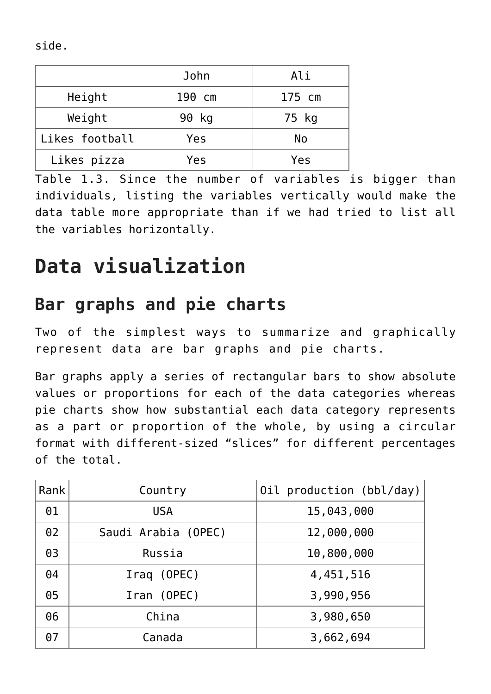side.

|                | John   | Ali    |
|----------------|--------|--------|
| Height         | 190 cm | 175 cm |
| Weight         | 90 kg  | 75 kg  |
| Likes football | Yes    | No     |
| Likes pizza    | Yes    | Yes    |

Table 1.3. Since the number of variables is bigger than individuals, listing the variables vertically would make the data table more appropriate than if we had tried to list all the variables horizontally.

### **Data visualization**

#### **Bar graphs and pie charts**

Two of the simplest ways to summarize and graphically represent data are bar graphs and pie charts.

Bar graphs apply a series of rectangular bars to show absolute values or proportions for each of the data categories whereas pie charts show how substantial each data category represents as a part or proportion of the whole, by using a circular format with different-sized "slices" for different percentages of the total.

| Rank       | Country             | Oil production (bbl/day) |
|------------|---------------------|--------------------------|
| 01         | <b>USA</b>          | 15,043,000               |
| 02         | Saudi Arabia (OPEC) | 12,000,000               |
| 03         | Russia              | 10,800,000               |
| 04         | Iraq (OPEC)         | 4,451,516                |
| 05         | Iran (OPEC)         | 3,990,956                |
| 06         | China               | 3,980,650                |
| $\theta$ 7 | Canada              | 3,662,694                |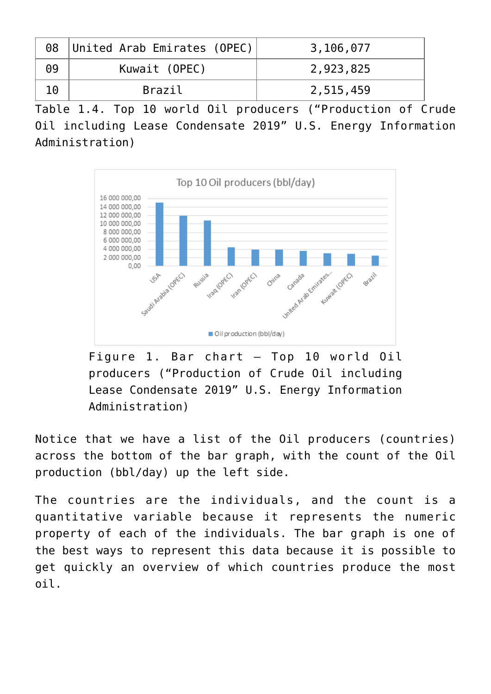|    | 08 United Arab Emirates (OPEC) | 3,106,077 |
|----|--------------------------------|-----------|
| 09 | Kuwait (OPEC)                  | 2,923,825 |
|    | Brazil                         | 2,515,459 |

Table 1.4. Top 10 world Oil producers ("Production of Crude Oil including Lease Condensate 2019" U.S. Energy Information Administration)



Figure 1. Bar chart – Top 10 world Oil producers ("Production of Crude Oil including Lease Condensate 2019" U.S. Energy Information Administration)

Notice that we have a list of the Oil producers (countries) across the bottom of the bar graph, with the count of the Oil production (bbl/day) up the left side.

The countries are the individuals, and the count is a quantitative variable because it represents the numeric property of each of the individuals. The bar graph is one of the best ways to represent this data because it is possible to get quickly an overview of which countries produce the most oil.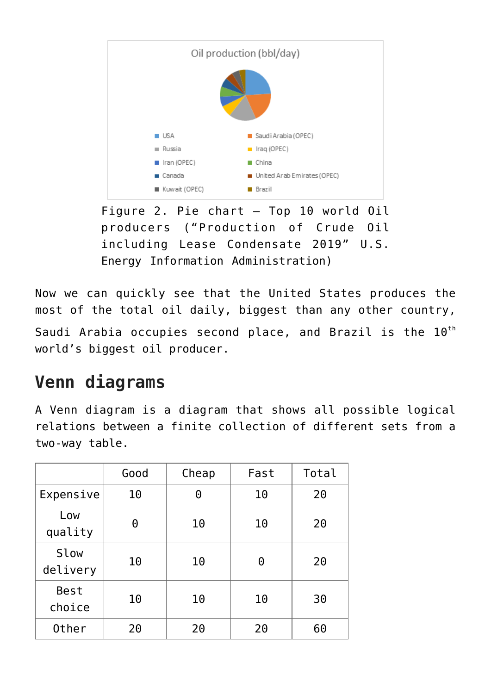

Figure 2. Pie chart – Top 10 world Oil producers ("Production of Crude Oil including Lease Condensate 2019" U.S. Energy Information Administration)

Now we can quickly see that the United States produces the most of the total oil daily, biggest than any other country, Saudi Arabia occupies second place, and Brazil is the  $10^{th}$ world's biggest oil producer.

#### **Venn diagrams**

A Venn diagram is a diagram that shows all possible logical relations between a finite collection of different sets from a two-way table.

|                       | Good | Cheap | Fast | Total |
|-----------------------|------|-------|------|-------|
| Expensive             | 10   | 0     | 10   | 20    |
| Low<br>quality        | 0    | 10    | 10   | 20    |
| Slow<br>delivery      | 10   | 10    | 0    | 20    |
| <b>Best</b><br>choice | 10   | 10    | 10   | 30    |
| 0ther                 | 20   | 20    | 20   | 60    |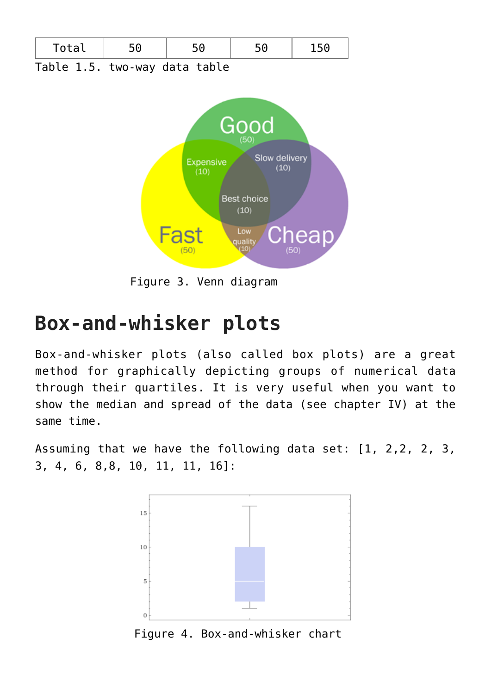

Figure 3. Venn diagram

### **Box-and-whisker plots**

Box-and-whisker plots (also called box plots) are a great method for graphically depicting groups of numerical data through their quartiles. It is very useful when you want to show the median and spread of the data (see chapter IV) at the same time.

Assuming that we have the following data set: [1, 2,2, 2, 3, 3, 4, 6, 8,8, 10, 11, 11, 16]:



Figure 4. Box-and-whisker chart